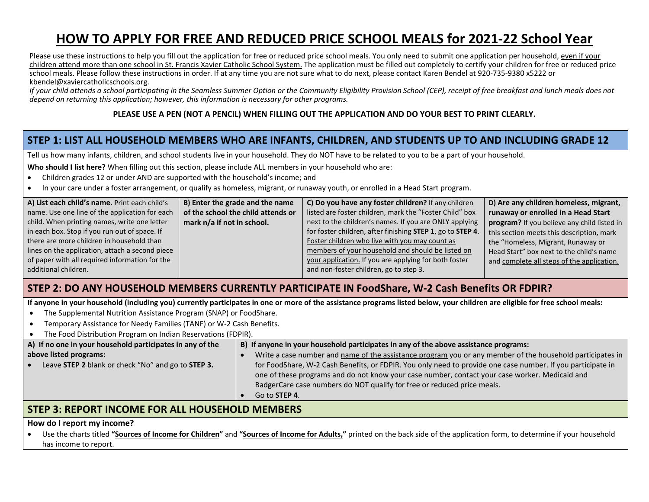# **HOW TO APPLY FOR FREE AND REDUCED PRICE SCHOOL MEALS for 2021-22 School Year**

Please use these instructions to help you fill out the application for free or reduced price school meals. You only need to submit one application per household, even if your children attend more than one school in St. Francis Xavier Catholic School System. The application must be filled out completely to certify your children for free or reduced price school meals. Please follow these instructions in order. If at any time you are not sure what to do next, please contact Karen Bendel at 920-735-9380 x5222 or kbendel@xaviercatholicschools.org.

*If your child attends a school participating in the Seamless Summer Option or the Community Eligibility Provision School (CEP), receipt of free breakfast and lunch meals does not depend on returning this application; however, this information is necessary for other programs.*

#### **PLEASE USE A PEN (NOT A PENCIL) WHEN FILLING OUT THE APPLICATION AND DO YOUR BEST TO PRINT CLEARLY.**

# **STEP 1: LIST ALL HOUSEHOLD MEMBERS WHO ARE INFANTS, CHILDREN, AND STUDENTS UP TO AND INCLUDING GRADE 12**

Tell us how many infants, children, and school students live in your household. They do NOT have to be related to you to be a part of your household.

**Who should I list here?** When filling out this section, please include ALL members in your household who are:

- Children grades 12 or under AND are supported with the household's income; and
- In your care under a foster arrangement, or qualify as homeless, migrant, or runaway youth, or enrolled in a Head Start program.

| A) List each child's name. Print each child's   | B) Enter the grade and the name    | C) Do you have any foster children? If any children        | D) Are any children homeless, migrant,      |
|-------------------------------------------------|------------------------------------|------------------------------------------------------------|---------------------------------------------|
| name. Use one line of the application for each  | of the school the child attends or | listed are foster children, mark the "Foster Child" box    | runaway or enrolled in a Head Start         |
| child. When printing names, write one letter    | mark n/a if not in school.         | next to the children's names. If you are ONLY applying     | program? If you believe any child listed in |
| in each box. Stop if you run out of space. If   |                                    | for foster children, after finishing STEP 1, go to STEP 4. | this section meets this description, mark   |
| there are more children in household than       |                                    | Foster children who live with you may count as             | the "Homeless, Migrant, Runaway or          |
| lines on the application, attach a second piece |                                    | members of your household and should be listed on          | Head Start" box next to the child's name    |
| of paper with all required information for the  |                                    | your application. If you are applying for both foster      | and complete all steps of the application.  |
| additional children.                            |                                    | and non-foster children, go to step 3.                     |                                             |
|                                                 |                                    |                                                            |                                             |

### **STEP 2: DO ANY HOUSEHOLD MEMBERS CURRENTLY PARTICIPATE IN FoodShare, W-2 Cash Benefits OR FDPIR?**

**If anyone in your household (including you) currently participates in one or more of the assistance programs listed below, your children are eligible for free school meals:**

- The Supplemental Nutrition Assistance Program (SNAP) or FoodShare.
- Temporary Assistance for Needy Families (TANF) or W-2 Cash Benefits.
- The Food Distribution Program on Indian Reservations (FDPIR).

| A) If no one in your household participates in any of the | B) If anyone in your household participates in any of the above assistance programs:                                                                                                                          |
|-----------------------------------------------------------|---------------------------------------------------------------------------------------------------------------------------------------------------------------------------------------------------------------|
| above listed programs:                                    | Write a case number and name of the assistance program you or any member of the household participates in                                                                                                     |
| Leave STEP 2 blank or check "No" and go to STEP 3.        | for FoodShare, W-2 Cash Benefits, or FDPIR. You only need to provide one case number. If you participate in<br>one of these programs and do not know your case number, contact your case worker. Medicaid and |
|                                                           | BadgerCare case numbers do NOT qualify for free or reduced price meals.                                                                                                                                       |
|                                                           | Go to <b>STEP 4</b> .                                                                                                                                                                                         |

### **STEP 3: REPORT INCOME FOR ALL HOUSEHOLD MEMBERS**

#### **How do I report my income?**

 Use the charts titled **"Sources of Income for Children"** and **"Sources of Income for Adults,"** printed on the back side of the application form, to determine if your household has income to report.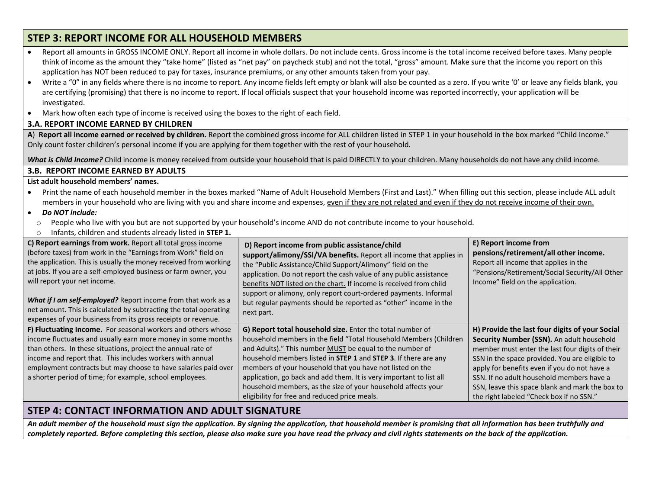# **STEP 3: REPORT INCOME FOR ALL HOUSEHOLD MEMBERS**

| Report all amounts in GROSS INCOME ONLY. Report all income in whole dollars. Do not include cents. Gross income is the total income received before taxes. Many people                                                                        |                                                                                                                                                                                |  |  |  |  |  |  |  |  |
|-----------------------------------------------------------------------------------------------------------------------------------------------------------------------------------------------------------------------------------------------|--------------------------------------------------------------------------------------------------------------------------------------------------------------------------------|--|--|--|--|--|--|--|--|
| think of income as the amount they "take home" (listed as "net pay" on paycheck stub) and not the total, "gross" amount. Make sure that the income you report on this                                                                         |                                                                                                                                                                                |  |  |  |  |  |  |  |  |
| application has NOT been reduced to pay for taxes, insurance premiums, or any other amounts taken from your pay.                                                                                                                              |                                                                                                                                                                                |  |  |  |  |  |  |  |  |
| Write a "0" in any fields where there is no income to report. Any income fields left empty or blank will also be counted as a zero. If you write '0' or leave any fields blank, you<br>$\bullet$                                              |                                                                                                                                                                                |  |  |  |  |  |  |  |  |
| are certifying (promising) that there is no income to report. If local officials suspect that your household income was reported incorrectly, your application will be                                                                        |                                                                                                                                                                                |  |  |  |  |  |  |  |  |
| investigated.                                                                                                                                                                                                                                 |                                                                                                                                                                                |  |  |  |  |  |  |  |  |
| Mark how often each type of income is received using the boxes to the right of each field.                                                                                                                                                    |                                                                                                                                                                                |  |  |  |  |  |  |  |  |
| <b>3.A. REPORT INCOME EARNED BY CHILDREN</b>                                                                                                                                                                                                  |                                                                                                                                                                                |  |  |  |  |  |  |  |  |
| A) Report all income earned or received by children. Report the combined gross income for ALL children listed in STEP 1 in your household in the box marked "Child Income."                                                                   |                                                                                                                                                                                |  |  |  |  |  |  |  |  |
| Only count foster children's personal income if you are applying for them together with the rest of your household.                                                                                                                           |                                                                                                                                                                                |  |  |  |  |  |  |  |  |
| What is Child Income? Child income is money received from outside your household that is paid DIRECTLY to your children. Many households do not have any child income.                                                                        |                                                                                                                                                                                |  |  |  |  |  |  |  |  |
| <b>3.B. REPORT INCOME EARNED BY ADULTS</b>                                                                                                                                                                                                    |                                                                                                                                                                                |  |  |  |  |  |  |  |  |
| List adult household members' names.                                                                                                                                                                                                          |                                                                                                                                                                                |  |  |  |  |  |  |  |  |
| Print the name of each household member in the boxes marked "Name of Adult Household Members (First and Last)." When filling out this section, please include ALL adult                                                                       |                                                                                                                                                                                |  |  |  |  |  |  |  |  |
| members in your household who are living with you and share income and expenses, even if they are not related and even if they do not receive income of their own.                                                                            |                                                                                                                                                                                |  |  |  |  |  |  |  |  |
| Do NOT include:<br>$\bullet$                                                                                                                                                                                                                  |                                                                                                                                                                                |  |  |  |  |  |  |  |  |
| People who live with you but are not supported by your household's income AND do not contribute income to your household.<br>$\circ$                                                                                                          |                                                                                                                                                                                |  |  |  |  |  |  |  |  |
| Infants, children and students already listed in STEP 1.<br>$\circ$                                                                                                                                                                           |                                                                                                                                                                                |  |  |  |  |  |  |  |  |
| C) Report earnings from work. Report all total gross income<br>E) Report income from<br>D) Report income from public assistance/child                                                                                                         |                                                                                                                                                                                |  |  |  |  |  |  |  |  |
| (before taxes) from work in the "Earnings from Work" field on<br>pensions/retirement/all other income.<br>support/alimony/SSI/VA benefits. Report all income that applies in                                                                  |                                                                                                                                                                                |  |  |  |  |  |  |  |  |
| the application. This is usually the money received from working<br>Report all income that applies in the<br>the "Public Assistance/Child Support/Alimony" field on the                                                                       |                                                                                                                                                                                |  |  |  |  |  |  |  |  |
| at jobs. If you are a self-employed business or farm owner, you<br>"Pensions/Retirement/Social Security/All Other<br>application. Do not report the cash value of any public assistance                                                       |                                                                                                                                                                                |  |  |  |  |  |  |  |  |
| will report your net income.<br>Income" field on the application.<br>benefits NOT listed on the chart. If income is received from child                                                                                                       |                                                                                                                                                                                |  |  |  |  |  |  |  |  |
| support or alimony, only report court-ordered payments. Informal                                                                                                                                                                              |                                                                                                                                                                                |  |  |  |  |  |  |  |  |
| What if I am self-employed? Report income from that work as a<br>but regular payments should be reported as "other" income in the                                                                                                             |                                                                                                                                                                                |  |  |  |  |  |  |  |  |
| net amount. This is calculated by subtracting the total operating<br>next part.                                                                                                                                                               |                                                                                                                                                                                |  |  |  |  |  |  |  |  |
|                                                                                                                                                                                                                                               | expenses of your business from its gross receipts or revenue.                                                                                                                  |  |  |  |  |  |  |  |  |
| H) Provide the last four digits of your Social<br>F) Fluctuating Income. For seasonal workers and others whose<br>G) Report total household size. Enter the total number of                                                                   |                                                                                                                                                                                |  |  |  |  |  |  |  |  |
| income fluctuates and usually earn more money in some months<br>household members in the field "Total Household Members (Children<br>Security Number (SSN). An adult household                                                                |                                                                                                                                                                                |  |  |  |  |  |  |  |  |
| than others. In these situations, project the annual rate of<br>and Adults)." This number MUST be equal to the number of<br>member must enter the last four digits of their                                                                   |                                                                                                                                                                                |  |  |  |  |  |  |  |  |
|                                                                                                                                                                                                                                               | income and report that. This includes workers with annual<br>household members listed in STEP 1 and STEP 3. If there are any<br>SSN in the space provided. You are eligible to |  |  |  |  |  |  |  |  |
| employment contracts but may choose to have salaries paid over<br>members of your household that you have not listed on the<br>apply for benefits even if you do not have a                                                                   |                                                                                                                                                                                |  |  |  |  |  |  |  |  |
| application, go back and add them. It is very important to list all<br>a shorter period of time; for example, school employees.<br>SSN. If no adult household members have a<br>household members, as the size of your household affects your |                                                                                                                                                                                |  |  |  |  |  |  |  |  |
| SSN, leave this space blank and mark the box to<br>eligibility for free and reduced price meals.<br>the right labeled "Check box if no SSN."                                                                                                  |                                                                                                                                                                                |  |  |  |  |  |  |  |  |

## **STEP 4: CONTACT INFORMATION AND ADULT SIGNATURE**

*An adult member of the household must sign the application. By signing the application, that household member is promising that all information has been truthfully and completely reported. Before completing this section, please also make sure you have read the privacy and civil rights statements on the back of the application.*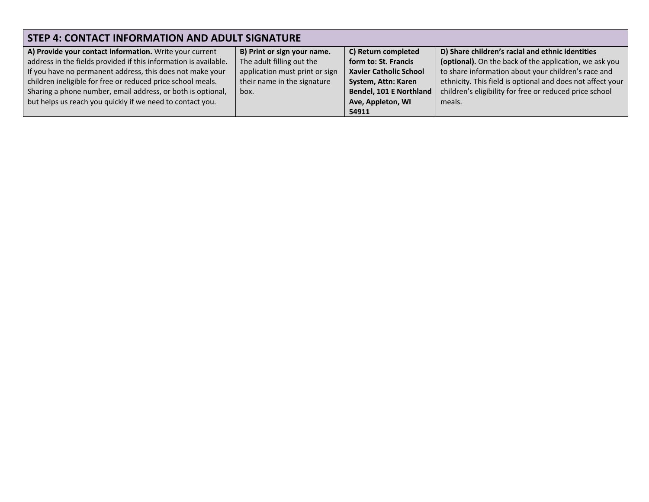| STEP 4: CONTACT INFORMATION AND ADULT SIGNATURE                  |                                |                                |                                                            |  |  |  |  |  |  |
|------------------------------------------------------------------|--------------------------------|--------------------------------|------------------------------------------------------------|--|--|--|--|--|--|
| A) Provide your contact information. Write your current          | B) Print or sign your name.    | C) Return completed            | D) Share children's racial and ethnic identities           |  |  |  |  |  |  |
| address in the fields provided if this information is available. | The adult filling out the      | form to: St. Francis           | (optional). On the back of the application, we ask you     |  |  |  |  |  |  |
| If you have no permanent address, this does not make your        | application must print or sign | <b>Xavier Catholic School</b>  | to share information about your children's race and        |  |  |  |  |  |  |
| children ineligible for free or reduced price school meals.      | their name in the signature    | System, Attn: Karen            | ethnicity. This field is optional and does not affect your |  |  |  |  |  |  |
| Sharing a phone number, email address, or both is optional,      | box.                           | <b>Bendel, 101 E Northland</b> | children's eligibility for free or reduced price school    |  |  |  |  |  |  |
| but helps us reach you quickly if we need to contact you.        |                                | Ave, Appleton, WI              | meals.                                                     |  |  |  |  |  |  |
|                                                                  |                                | 54911                          |                                                            |  |  |  |  |  |  |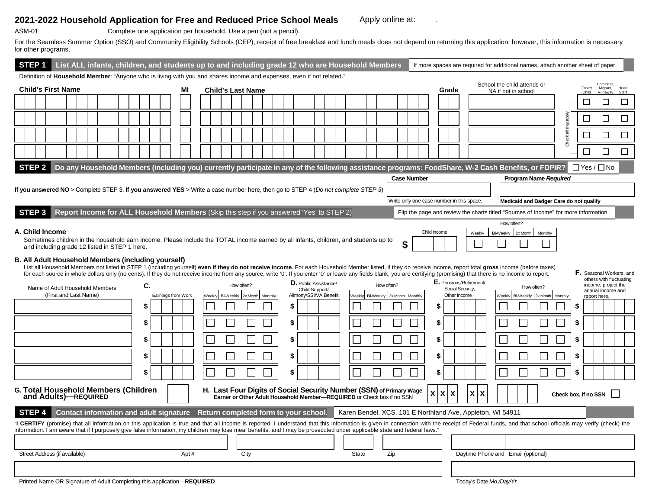#### 2021-2022 Household Application for Free and Reduced Price School Meals Apply online at:

 $\sim 10$ 

ASM-01 Complete one application per household. Use a pen (not a pencil).

For the Seamless Summer Option (SSO) and Community Eligibility Schools (CEP), receipt of free breakfast and lunch meals does not depend on returning this application; however, this information is necessary for other programs.

| List ALL infants, children, and students up to and including grade 12 who are Household Members<br>STEP 1                                                                                                                                                                                                                                                                                                                                                                         |                    |       |                                          |  |    |                                                                                                                                               |  |                                   |                    |   |                                           |                                                             | If more spaces are required for additional names, attach another sheet of paper.     |                      |                                                         |
|-----------------------------------------------------------------------------------------------------------------------------------------------------------------------------------------------------------------------------------------------------------------------------------------------------------------------------------------------------------------------------------------------------------------------------------------------------------------------------------|--------------------|-------|------------------------------------------|--|----|-----------------------------------------------------------------------------------------------------------------------------------------------|--|-----------------------------------|--------------------|---|-------------------------------------------|-------------------------------------------------------------|--------------------------------------------------------------------------------------|----------------------|---------------------------------------------------------|
| Definition of Household Member: "Anyone who is living with you and shares income and expenses, even if not related."<br>School the child attends or<br><b>Homeless</b>                                                                                                                                                                                                                                                                                                            |                    |       |                                          |  |    |                                                                                                                                               |  |                                   |                    |   |                                           |                                                             |                                                                                      |                      |                                                         |
| <b>Child's First Name</b>                                                                                                                                                                                                                                                                                                                                                                                                                                                         | MI                 |       | <b>Child's Last Name</b>                 |  |    |                                                                                                                                               |  |                                   |                    |   | Grade                                     |                                                             | NA if not in school                                                                  |                      | Foster<br>Migrant.<br>Head<br>Child<br>Runaway          |
|                                                                                                                                                                                                                                                                                                                                                                                                                                                                                   |                    |       |                                          |  |    |                                                                                                                                               |  |                                   |                    |   |                                           |                                                             |                                                                                      |                      | □<br>$\Box$<br>□                                        |
|                                                                                                                                                                                                                                                                                                                                                                                                                                                                                   |                    |       |                                          |  |    |                                                                                                                                               |  |                                   |                    |   |                                           |                                                             |                                                                                      |                      | $\Box$<br>$\Box$<br>$\Box$                              |
|                                                                                                                                                                                                                                                                                                                                                                                                                                                                                   |                    |       |                                          |  |    |                                                                                                                                               |  |                                   |                    |   |                                           |                                                             |                                                                                      | 등                    |                                                         |
|                                                                                                                                                                                                                                                                                                                                                                                                                                                                                   |                    |       |                                          |  |    |                                                                                                                                               |  |                                   |                    |   |                                           |                                                             |                                                                                      | Check                | $\Box$<br>$\Box$<br>$\Box$                              |
|                                                                                                                                                                                                                                                                                                                                                                                                                                                                                   |                    |       |                                          |  |    |                                                                                                                                               |  |                                   |                    |   |                                           |                                                             |                                                                                      |                      | $\Box$<br>$\Box$<br>$\Box$                              |
| Do any Household Members (including you) currently participate in any of the following assistance programs: FoodShare, W-2 Cash Benefits, or FDPIR?<br>STEP <sub>2</sub>                                                                                                                                                                                                                                                                                                          |                    |       |                                          |  |    |                                                                                                                                               |  |                                   |                    |   |                                           |                                                             |                                                                                      |                      | $\Box$ Yes / $\Box$ No                                  |
|                                                                                                                                                                                                                                                                                                                                                                                                                                                                                   |                    |       |                                          |  |    |                                                                                                                                               |  |                                   | <b>Case Number</b> |   |                                           |                                                             | Program Name Required                                                                |                      |                                                         |
| If you answered NO > Complete STEP 3. If you answered YES > Write a case number here, then go to STEP 4 (Do not complete STEP 3)                                                                                                                                                                                                                                                                                                                                                  |                    |       |                                          |  |    |                                                                                                                                               |  |                                   |                    |   |                                           |                                                             |                                                                                      |                      |                                                         |
|                                                                                                                                                                                                                                                                                                                                                                                                                                                                                   |                    |       |                                          |  |    |                                                                                                                                               |  |                                   |                    |   |                                           | Write only one case number in this space.                   | Medicaid and Badger Care do not qualify                                              |                      |                                                         |
| Report Income for ALL Household Members (Skip this step if you answered 'Yes' to STEP 2)<br>STEP <sub>3</sub>                                                                                                                                                                                                                                                                                                                                                                     |                    |       |                                          |  |    |                                                                                                                                               |  |                                   |                    |   |                                           |                                                             | Flip the page and review the charts titled "Sources of Income" for more information. |                      |                                                         |
| A. Child Income<br>Sometimes children in the household earn income. Please include the TOTAL income earned by all infants, children, and students up to<br>and including grade 12 listed in STEP 1 here.<br>B. All Adult Household Members (including yourself)<br>List all Household Members not listed in STEP 1 (including yourself) even if they do not receive income. For each Household Member listed, if they do receive income, report total gross income (before taxes) |                    |       |                                          |  |    |                                                                                                                                               |  |                                   | \$                 |   | Child income                              | Weekly                                                      | How often?<br>Bi-Weekly 2x Month<br>Monthly                                          |                      |                                                         |
| for each source in whole dollars only (no cents). If they do not receive income from any source, write '0'. If you enter '0' or leave any fields blank, you are certifying (promising) that there is no income to report.                                                                                                                                                                                                                                                         |                    |       |                                          |  |    |                                                                                                                                               |  |                                   |                    |   |                                           |                                                             |                                                                                      |                      | F. Seasonal Workers, and<br>others with fluctuating     |
| C.<br>Name of Adult Household Members<br>(First and Last Name)                                                                                                                                                                                                                                                                                                                                                                                                                    | Earnings from Work | Veekh | How often?<br>Bi-Weekly 2x Month Monthly |  |    | <b>D.</b> Public Assistance/<br>Child Support/<br>Alimony/SSI/VA Benefit                                                                      |  | Weekly Bi-Weekly 2x Month Monthly | How often?         |   |                                           | E. Pensions/Retirement/<br>Social Security,<br>Other Income | How often?<br>Weekly Bi-Weekly<br>2x Month Monthly                                   |                      | income, project the<br>annual income and<br>report here |
| \$                                                                                                                                                                                                                                                                                                                                                                                                                                                                                |                    |       |                                          |  | \$ |                                                                                                                                               |  |                                   |                    |   | S                                         |                                                             |                                                                                      | \$                   |                                                         |
| \$                                                                                                                                                                                                                                                                                                                                                                                                                                                                                |                    |       |                                          |  | \$ |                                                                                                                                               |  |                                   |                    |   | \$                                        |                                                             |                                                                                      | \$                   |                                                         |
| \$                                                                                                                                                                                                                                                                                                                                                                                                                                                                                |                    |       |                                          |  | \$ |                                                                                                                                               |  |                                   |                    |   | \$                                        |                                                             |                                                                                      | \$                   |                                                         |
| \$                                                                                                                                                                                                                                                                                                                                                                                                                                                                                |                    |       |                                          |  | \$ |                                                                                                                                               |  |                                   |                    |   |                                           |                                                             |                                                                                      | \$                   |                                                         |
|                                                                                                                                                                                                                                                                                                                                                                                                                                                                                   |                    |       |                                          |  |    |                                                                                                                                               |  |                                   |                    |   | \$                                        |                                                             |                                                                                      |                      |                                                         |
| \$                                                                                                                                                                                                                                                                                                                                                                                                                                                                                |                    |       |                                          |  | \$ |                                                                                                                                               |  |                                   |                    |   |                                           |                                                             |                                                                                      | \$                   |                                                         |
| G. Total Household Members (Children<br>and Adults)-REQUIRED                                                                                                                                                                                                                                                                                                                                                                                                                      |                    |       |                                          |  |    | H. Last Four Digits of Social Security Number (SSN) of Primary Wage<br>Earner or Other Adult Household Member-REQUIRED or Check box if no SSN |  |                                   |                    | X | $\mathbf{x}$<br>$\boldsymbol{\mathsf{X}}$ | X<br>$\mathbf x$                                            |                                                                                      | Check box, if no SSN |                                                         |
| Contact information and adult signature Return completed form to your school.<br>STEP 4                                                                                                                                                                                                                                                                                                                                                                                           |                    |       |                                          |  |    |                                                                                                                                               |  |                                   |                    |   |                                           | Karen Bendel, XCS, 101 E Northland Ave, Appleton, WI 54911  |                                                                                      |                      |                                                         |
| "I CERTIFY (promise) that all information on this application is true and that all income is reported. I understand that this information is given in connection with the receipt of Federal funds, and that school officials<br>information. I am aware that if I purposely give false information, my children may lose meal benefits, and I may be prosecuted under applicable state and federal laws.                                                                         |                    |       |                                          |  |    |                                                                                                                                               |  |                                   |                    |   |                                           |                                                             |                                                                                      |                      |                                                         |
|                                                                                                                                                                                                                                                                                                                                                                                                                                                                                   |                    |       |                                          |  |    |                                                                                                                                               |  |                                   |                    |   |                                           |                                                             |                                                                                      |                      |                                                         |
| Street Address (if available)                                                                                                                                                                                                                                                                                                                                                                                                                                                     | Apt#               |       | City                                     |  |    |                                                                                                                                               |  | <b>State</b>                      | Zip                |   |                                           |                                                             | Daytime Phone and Email (optional)                                                   |                      |                                                         |
|                                                                                                                                                                                                                                                                                                                                                                                                                                                                                   |                    |       |                                          |  |    |                                                                                                                                               |  |                                   |                    |   |                                           |                                                             |                                                                                      |                      |                                                         |
| Printed Name OR Signature of Adult Completing this application—REQUIRED                                                                                                                                                                                                                                                                                                                                                                                                           |                    |       |                                          |  |    |                                                                                                                                               |  |                                   |                    |   |                                           | Today's Date Mo./Day/Yr.                                    |                                                                                      |                      |                                                         |